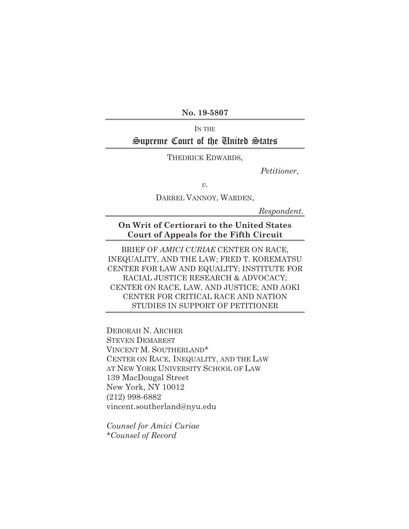**No. 19-5807**

## In the Supreme Court of the United States

THEDRICK EDWARDS,

 *Petitioner,*

*v.* 

DARREL VANNOY, WARDEN,

*Respondent.*

**On Writ of Certiorari to the United States Court of Appeals for the Fifth Circuit**

BRIEF OF *AMICI CURIAE* CENTER ON RACE, INEQUALITY, AND THE LAW; FRED T. KOREMATSU CENTER FOR LAW AND EQUALITY; INSTITUTE FOR RACIAL JUSTICE RESEARCH & ADVOCACY; CENTER ON RACE, LAW, AND JUSTICE; AND AOKI CENTER FOR CRITICAL RACE AND NATION STUDIES IN SUPPORT OF PETITIONER

DEBORAH N. ARCHER STEVEN DEMAREST VINCENT M. SOUTHERLAND\* CENTER ON RACE, INEQUALITY, AND THE LAW AT NEW YORK UNIVERSITY SCHOOL OF LAW 139 MacDougal Street New York, NY 10012 (212) 998-6882 vincent.southerland@nyu.edu

*Counsel for Amici Curiae \*Counsel of Record*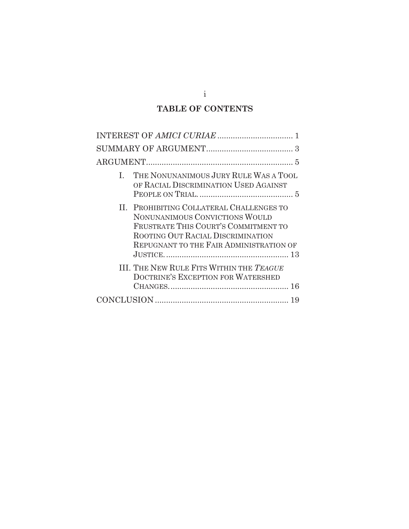# **TABLE OF CONTENTS**

| $\sqrt{2}$                                                                       |
|----------------------------------------------------------------------------------|
|                                                                                  |
|                                                                                  |
|                                                                                  |
|                                                                                  |
| THE NONUNANIMOUS JURY RULE WAS A TOOL<br>REPUGNANT TO THE FAIR ADMINISTRATION OF |

i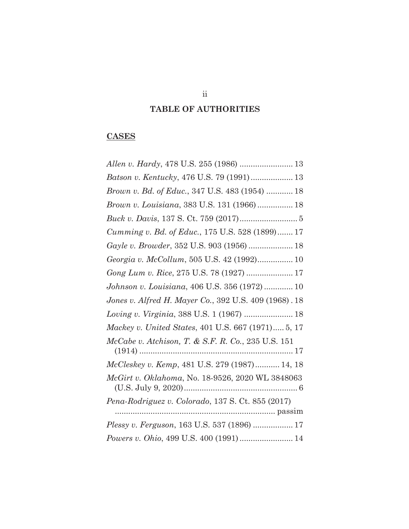# **TABLE OF AUTHORITIES**

## **CASES**

| Batson v. Kentucky, 476 U.S. 79 (1991) 13             |
|-------------------------------------------------------|
| Brown v. Bd. of Educ., 347 U.S. 483 (1954)  18        |
| Brown v. Louisiana, 383 U.S. 131 (1966)  18           |
|                                                       |
| Cumming v. Bd. of Educ., 175 U.S. 528 (1899) 17       |
| Gayle v. Browder, 352 U.S. 903 (1956)  18             |
| Georgia v. McCollum, 505 U.S. 42 (1992) 10            |
| Gong Lum v. Rice, 275 U.S. 78 (1927)  17              |
| Johnson v. Louisiana, 406 U.S. 356 (1972)  10         |
| Jones v. Alfred H. Mayer Co., 392 U.S. 409 (1968). 18 |
| Loving v. Virginia, 388 U.S. 1 (1967)  18             |
| Mackey v. United States, 401 U.S. 667 (1971) 5, 17    |
| McCabe v. Atchison, T. & S.F. R. Co., 235 U.S. 151    |
| McCleskey v. Kemp, 481 U.S. 279 (1987) 14, 18         |
| McGirt v. Oklahoma, No. 18-9526, 2020 WL 3848063      |
| Pena-Rodriguez v. Colorado, 137 S. Ct. 855 (2017)     |
|                                                       |
| Plessy v. Ferguson, 163 U.S. 537 (1896)  17           |
| Powers v. Ohio, 499 U.S. 400 (1991) 14                |

ii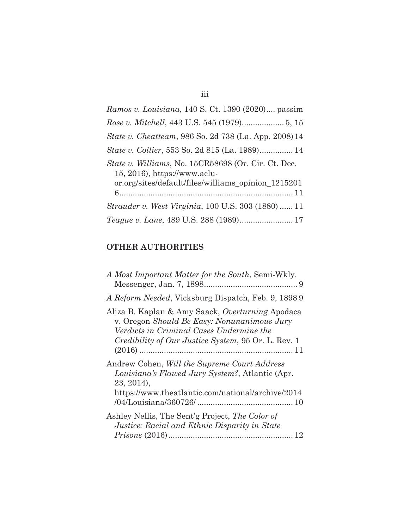| Ramos v. Louisiana, 140 S. Ct. 1390 (2020) passim                                                                                          |
|--------------------------------------------------------------------------------------------------------------------------------------------|
|                                                                                                                                            |
| <i>State v. Cheatteam, 986 So. 2d 738 (La. App. 2008)</i> 14                                                                               |
| <i>State v. Collier</i> , 553 So. 2d 815 (La. 1989) 14                                                                                     |
| State v. Williams, No. 15CR58698 (Or. Cir. Ct. Dec.<br>15, 2016), https://www.aclu-<br>or.org/sites/default/files/williams_opinion_1215201 |
| <i>Strauder v. West Virginia, 100 U.S. 303 (1880)  11</i>                                                                                  |
| Teague v. Lane, 489 U.S. 288 (1989) 17                                                                                                     |

iii

## **OTHER AUTHORITIES**

| A Most Important Matter for the South, Semi-Wkly.                                                                                                                                                         |
|-----------------------------------------------------------------------------------------------------------------------------------------------------------------------------------------------------------|
| A Reform Needed, Vicksburg Dispatch, Feb. 9, 1898 9                                                                                                                                                       |
| Aliza B. Kaplan & Amy Saack, Overturning Apodaca<br>v. Oregon Should Be Easy: Nonunanimous Jury<br>Verdicts in Criminal Cases Undermine the<br><i>Credibility of Our Justice System, 95 Or. L. Rev. 1</i> |
| Andrew Cohen, Will the Supreme Court Address<br>Louisiana's Flawed Jury System?, Atlantic (Apr.<br>23, 2014),<br>https://www.theatlantic.com/national/archive/2014                                        |
| Ashley Nellis, The Sent'g Project, The Color of<br>Justice: Racial and Ethnic Disparity in State<br>12                                                                                                    |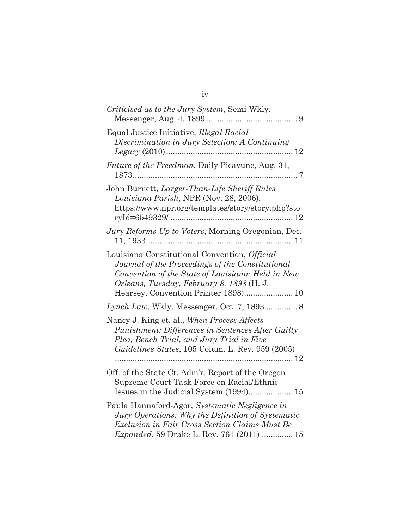| Criticised as to the Jury System, Semi-Wkly.                                                                                                                                                                                                |
|---------------------------------------------------------------------------------------------------------------------------------------------------------------------------------------------------------------------------------------------|
| Equal Justice Initiative, Illegal Racial<br>Discrimination in Jury Selection: A Continuing                                                                                                                                                  |
| Future of the Freedman, Daily Picayune, Aug. 31,                                                                                                                                                                                            |
| John Burnett, Larger-Than-Life Sheriff Rules<br>Louisiana Parish, NPR (Nov. 28, 2006),<br>https://www.npr.org/templates/story/story.php?sto                                                                                                 |
| Jury Reforms Up to Voters, Morning Oregonian, Dec.                                                                                                                                                                                          |
| Louisiana Constitutional Convention, Official<br>Journal of the Proceedings of the Constitutional<br>Convention of the State of Louisiana: Held in New<br>Orleans, Tuesday, February 8, 1898 (H. J.<br>Hearsey, Convention Printer 1898) 10 |
|                                                                                                                                                                                                                                             |
| Nancy J. King et. al., When Process Affects<br>Punishment: Differences in Sentences After Guilty<br>Plea, Bench Trial, and Jury Trial in Five<br>Guidelines States, 105 Colum. L. Rev. 959 (2005)                                           |
| Off. of the State Ct. Adm'r, Report of the Oregon<br>Supreme Court Task Force on Racial/Ethnic                                                                                                                                              |
| Paula Hannaford-Agor, Systematic Negligence in<br>Jury Operations: Why the Definition of Systematic<br>Exclusion in Fair Cross Section Claims Must Be<br><i>Expanded</i> , 59 Drake L. Rev. 761 (2011)  15                                  |

iv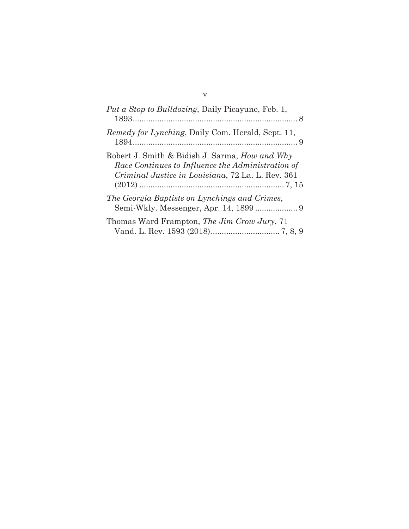| <i>Put a Stop to Bulldozing</i> , Daily Picayune, Feb. 1,                                                                                                       |
|-----------------------------------------------------------------------------------------------------------------------------------------------------------------|
| <i>Remedy for Lynching</i> , Daily Com. Herald, Sept. 11,                                                                                                       |
| Robert J. Smith & Bidish J. Sarma, <i>How and Why</i><br>Race Continues to Influence the Administration of<br>Criminal Justice in Louisiana, 72 La. L. Rev. 361 |
| The Georgia Baptists on Lynchings and Crimes,                                                                                                                   |
| Thomas Ward Frampton, The Jim Crow Jury, 71                                                                                                                     |

v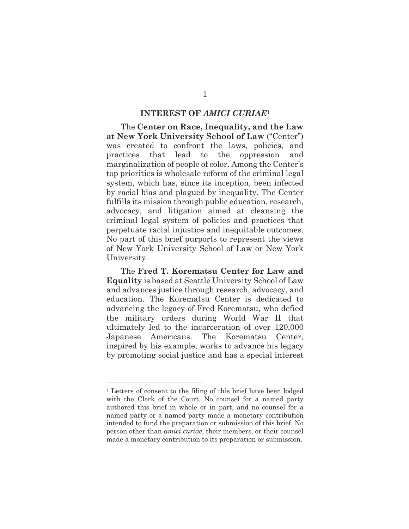#### **INTEREST OF** *AMICI CURIAE*<sup>1</sup>

The **Center on Race, Inequality, and the Law at New York University School of Law** ("Center") was created to confront the laws, policies, and practices that lead to the oppression and marginalization of people of color. Among the Center's top priorities is wholesale reform of the criminal legal system, which has, since its inception, been infected by racial bias and plagued by inequality. The Center fulfills its mission through public education, research, advocacy, and litigation aimed at cleansing the criminal legal system of policies and practices that perpetuate racial injustice and inequitable outcomes. No part of this brief purports to represent the views of New York University School of Law or New York University.

The **Fred T. Korematsu Center for Law and Equality** is based at Seattle University School of Law and advances justice through research, advocacy, and education. The Korematsu Center is dedicated to advancing the legacy of Fred Korematsu, who defied the military orders during World War II that ultimately led to the incarceration of over 120,000 Japanese Americans. The Korematsu Center, inspired by his example, works to advance his legacy by promoting social justice and has a special interest

<sup>1</sup> Letters of consent to the filing of this brief have been lodged with the Clerk of the Court. No counsel for a named party authored this brief in whole or in part, and no counsel for a named party or a named party made a monetary contribution intended to fund the preparation or submission of this brief. No person other than *amici curiae*, their members, or their counsel made a monetary contribution to its preparation or submission.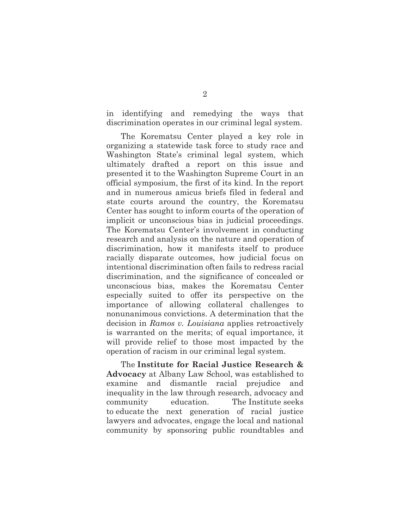in identifying and remedying the ways that discrimination operates in our criminal legal system.

The Korematsu Center played a key role in organizing a statewide task force to study race and Washington State's criminal legal system, which ultimately drafted a report on this issue and presented it to the Washington Supreme Court in an official symposium, the first of its kind. In the report and in numerous amicus briefs filed in federal and state courts around the country, the Korematsu Center has sought to inform courts of the operation of implicit or unconscious bias in judicial proceedings. The Korematsu Center's involvement in conducting research and analysis on the nature and operation of discrimination, how it manifests itself to produce racially disparate outcomes, how judicial focus on intentional discrimination often fails to redress racial discrimination, and the significance of concealed or unconscious bias, makes the Korematsu Center especially suited to offer its perspective on the importance of allowing collateral challenges to nonunanimous convictions. A determination that the decision in *Ramos v. Louisiana* applies retroactively is warranted on the merits; of equal importance, it will provide relief to those most impacted by the operation of racism in our criminal legal system.

The **Institute for Racial Justice Research & Advocacy** at Albany Law School, was established to examine and dismantle racial prejudice and inequality in the law through research, advocacy and community education. The Institute seeks to educate the next generation of racial justice lawyers and advocates, engage the local and national community by sponsoring public roundtables and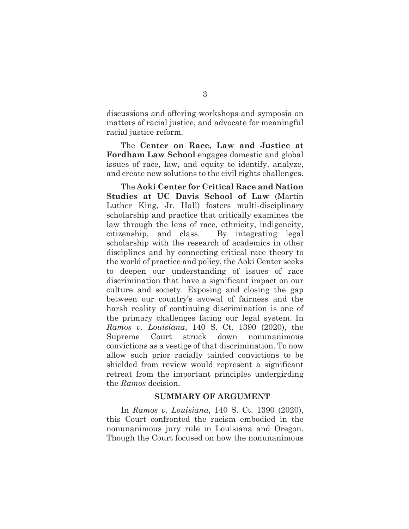discussions and offering workshops and symposia on matters of racial justice, and advocate for meaningful racial justice reform.

The **Center on Race, Law and Justice at Fordham Law School** engages domestic and global issues of race, law, and equity to identify, analyze, and create new solutions to the civil rights challenges.

The **Aoki Center for Critical Race and Nation Studies at UC Davis School of Law** (Martin Luther King, Jr. Hall) fosters multi-disciplinary scholarship and practice that critically examines the law through the lens of race, ethnicity, indigeneity, citizenship, and class. By integrating legal scholarship with the research of academics in other disciplines and by connecting critical race theory to the world of practice and policy, the Aoki Center seeks to deepen our understanding of issues of race discrimination that have a significant impact on our culture and society. Exposing and closing the gap between our country's avowal of fairness and the harsh reality of continuing discrimination is one of the primary challenges facing our legal system. In *Ramos v. Louisiana*, 140 S. Ct. 1390 (2020), the Supreme Court struck down nonunanimous convictions as a vestige of that discrimination. To now allow such prior racially tainted convictions to be shielded from review would represent a significant retreat from the important principles undergirding the *Ramos* decision.

#### **SUMMARY OF ARGUMENT**

In *Ramos v. Louisiana*, 140 S. Ct. 1390 (2020), this Court confronted the racism embodied in the nonunanimous jury rule in Louisiana and Oregon. Though the Court focused on how the nonunanimous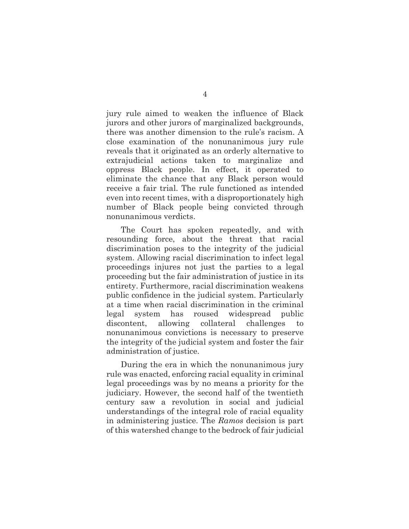jury rule aimed to weaken the influence of Black jurors and other jurors of marginalized backgrounds, there was another dimension to the rule's racism. A close examination of the nonunanimous jury rule reveals that it originated as an orderly alternative to extrajudicial actions taken to marginalize and oppress Black people. In effect, it operated to eliminate the chance that any Black person would receive a fair trial. The rule functioned as intended even into recent times, with a disproportionately high number of Black people being convicted through nonunanimous verdicts.

The Court has spoken repeatedly, and with resounding force, about the threat that racial discrimination poses to the integrity of the judicial system. Allowing racial discrimination to infect legal proceedings injures not just the parties to a legal proceeding but the fair administration of justice in its entirety. Furthermore, racial discrimination weakens public confidence in the judicial system. Particularly at a time when racial discrimination in the criminal legal system has roused widespread public discontent, allowing collateral challenges to nonunanimous convictions is necessary to preserve the integrity of the judicial system and foster the fair administration of justice.

During the era in which the nonunanimous jury rule was enacted, enforcing racial equality in criminal legal proceedings was by no means a priority for the judiciary. However, the second half of the twentieth century saw a revolution in social and judicial understandings of the integral role of racial equality in administering justice. The *Ramos* decision is part of this watershed change to the bedrock of fair judicial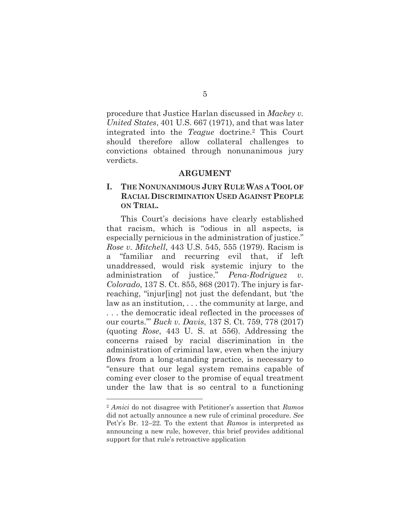procedure that Justice Harlan discussed in *Mackey v. United States*, 401 U.S. 667 (1971), and that was later integrated into the *Teague* doctrine.2 This Court should therefore allow collateral challenges to convictions obtained through nonunanimous jury verdicts.

#### **ARGUMENT**

### **I. THE NONUNANIMOUS JURY RULE WAS A TOOL OF RACIAL DISCRIMINATION USED AGAINST PEOPLE ON TRIAL.**

This Court's decisions have clearly established that racism, which is "odious in all aspects, is especially pernicious in the administration of justice." *Rose v. Mitchell*, 443 U.S. 545, 555 (1979). Racism is a "familiar and recurring evil that, if left unaddressed, would risk systemic injury to the administration of justice." *Pena-Rodriguez v. Colorado*, 137 S. Ct. 855, 868 (2017). The injury is farreaching, "injur[ing] not just the defendant, but 'the law as an institution, . . . the community at large, and . . . the democratic ideal reflected in the processes of our courts.'" *Buck v. Davis*, 137 S. Ct. 759, 778 (2017) (quoting *Rose*, 443 U. S. at 556). Addressing the concerns raised by racial discrimination in the administration of criminal law, even when the injury flows from a long-standing practice, is necessary to "ensure that our legal system remains capable of coming ever closer to the promise of equal treatment under the law that is so central to a functioning

<sup>2</sup> *Amici* do not disagree with Petitioner's assertion that *Ramos*  did not actually announce a new rule of criminal procedure. *See*  Pet'r's Br. 12–22. To the extent that *Ramos* is interpreted as announcing a new rule, however, this brief provides additional support for that rule's retroactive application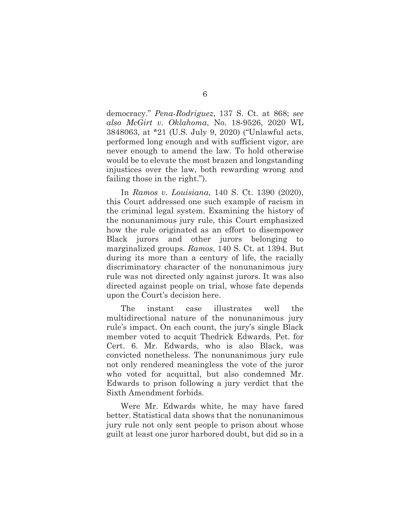democracy." *Pena-Rodriguez*, 137 S. Ct. at 868; *see also McGirt v. Oklahoma*, No. 18-9526, 2020 WL 3848063, at \*21 (U.S. July 9, 2020) ("Unlawful acts, performed long enough and with sufficient vigor, are never enough to amend the law. To hold otherwise would be to elevate the most brazen and longstanding injustices over the law, both rewarding wrong and failing those in the right.").

In *Ramos v. Louisiana*, 140 S. Ct. 1390 (2020), this Court addressed one such example of racism in the criminal legal system. Examining the history of the nonunanimous jury rule, this Court emphasized how the rule originated as an effort to disempower Black jurors and other jurors belonging to marginalized groups. *Ramos*, 140 S. Ct. at 1394. But during its more than a century of life, the racially discriminatory character of the nonunanimous jury rule was not directed only against jurors. It was also directed against people on trial, whose fate depends upon the Court's decision here.

The instant case illustrates well the multidirectional nature of the nonunanimous jury rule's impact. On each count, the jury's single Black member voted to acquit Thedrick Edwards. Pet. for Cert. 6. Mr. Edwards, who is also Black, was convicted nonetheless. The nonunanimous jury rule not only rendered meaningless the vote of the juror who voted for acquittal, but also condemned Mr. Edwards to prison following a jury verdict that the Sixth Amendment forbids.

Were Mr. Edwards white, he may have fared better. Statistical data shows that the nonunanimous jury rule not only sent people to prison about whose guilt at least one juror harbored doubt, but did so in a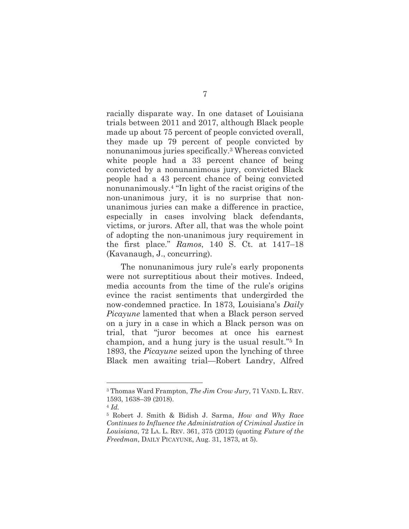racially disparate way. In one dataset of Louisiana trials between 2011 and 2017, although Black people made up about 75 percent of people convicted overall, they made up 79 percent of people convicted by nonunanimous juries specifically.3 Whereas convicted white people had a 33 percent chance of being convicted by a nonunanimous jury, convicted Black people had a 43 percent chance of being convicted nonunanimously.4 "In light of the racist origins of the non-unanimous jury, it is no surprise that nonunanimous juries can make a difference in practice, especially in cases involving black defendants, victims, or jurors. After all, that was the whole point of adopting the non-unanimous jury requirement in the first place." *Ramos*, 140 S. Ct. at 1417–18 (Kavanaugh, J., concurring).

The nonunanimous jury rule's early proponents were not surreptitious about their motives. Indeed, media accounts from the time of the rule's origins evince the racist sentiments that undergirded the now-condemned practice. In 1873, Louisiana's *Daily Picayune* lamented that when a Black person served on a jury in a case in which a Black person was on trial, that "juror becomes at once his earnest champion, and a hung jury is the usual result."5 In 1893, the *Picayune* seized upon the lynching of three Black men awaiting trial—Robert Landry, Alfred

<sup>3</sup> Thomas Ward Frampton, *The Jim Crow Jury*, 71 VAND. L. REV. 1593, 1638–39 (2018).

<sup>4</sup> *Id.*

<sup>5</sup> Robert J. Smith & Bidish J. Sarma, *How and Why Race Continues to Influence the Administration of Criminal Justice in Louisiana*, 72 LA. L. REV. 361, 375 (2012) (quoting *Future of the Freedman*, DAILY PICAYUNE, Aug. 31, 1873, at 5).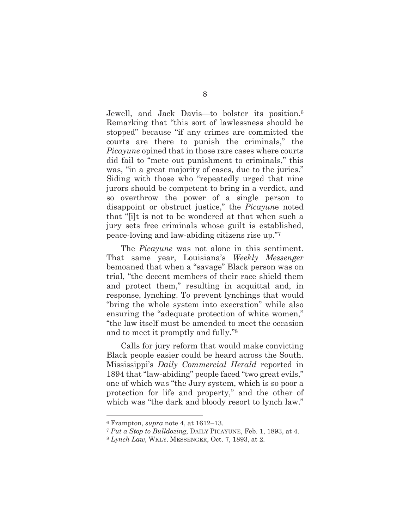Jewell, and Jack Davis—to bolster its position.<sup>6</sup> Remarking that "this sort of lawlessness should be stopped" because "if any crimes are committed the courts are there to punish the criminals," the *Picayune* opined that in those rare cases where courts did fail to "mete out punishment to criminals," this was, "in a great majority of cases, due to the juries." Siding with those who "repeatedly urged that nine jurors should be competent to bring in a verdict, and so overthrow the power of a single person to disappoint or obstruct justice," the *Picayun*e noted that "[i]t is not to be wondered at that when such a jury sets free criminals whose guilt is established, peace-loving and law-abiding citizens rise up."<sup>7</sup>

The *Picayune* was not alone in this sentiment. That same year, Louisiana's *Weekly Messenger* bemoaned that when a "savage" Black person was on trial, "the decent members of their race shield them and protect them," resulting in acquittal and, in response, lynching. To prevent lynchings that would "bring the whole system into execration" while also ensuring the "adequate protection of white women," "the law itself must be amended to meet the occasion and to meet it promptly and fully."<sup>8</sup>

Calls for jury reform that would make convicting Black people easier could be heard across the South. Mississippi's *Daily Commercial Herald* reported in 1894 that "law-abiding" people faced "two great evils," one of which was "the Jury system, which is so poor a protection for life and property," and the other of which was "the dark and bloody resort to lynch law."

<sup>6</sup> Frampton, *supra* note 4, at 1612–13.

<sup>7</sup> *Put a Stop to Bulldozing*, DAILY PICAYUNE, Feb. 1, 1893, at 4.

<sup>8</sup> *Lynch Law*, WKLY. MESSENGER, Oct. 7, 1893, at 2.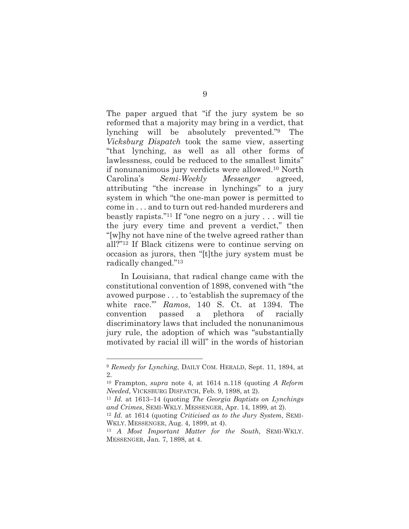The paper argued that "if the jury system be so reformed that a majority may bring in a verdict, that lynching will be absolutely prevented."9 The *Vicksburg Dispatch* took the same view, asserting "that lynching, as well as all other forms of lawlessness, could be reduced to the smallest limits" if nonunanimous jury verdicts were allowed.10 North Carolina's *Semi-Weekly Messenger* agreed, attributing "the increase in lynchings" to a jury system in which "the one-man power is permitted to come in . . . and to turn out red-handed murderers and beastly rapists."11 If "one negro on a jury . . . will tie the jury every time and prevent a verdict," then "[w]hy not have nine of the twelve agreed rather than all?"12 If Black citizens were to continue serving on occasion as jurors, then "[t]the jury system must be radically changed."<sup>13</sup>

In Louisiana, that radical change came with the constitutional convention of 1898, convened with "the avowed purpose . . . to 'establish the supremacy of the white race.'" *Ramos*, 140 S. Ct. at 1394. The convention passed a plethora of racially discriminatory laws that included the nonunanimous jury rule, the adoption of which was "substantially motivated by racial ill will" in the words of historian

<sup>9</sup> *Remedy for Lynching*, DAILY COM. HERALD, Sept. 11, 1894, at 2.

<sup>10</sup> Frampton, *supra* note 4, at 1614 n.118 (quoting *A Reform Needed*, VICKSBURG DISPATCH, Feb. 9, 1898, at 2).

<sup>11</sup> *Id.* at 1613–14 (quoting *The Georgia Baptists on Lynchings and Crimes*, SEMI-WKLY. MESSENGER, Apr. 14, 1899, at 2).

<sup>12</sup> *Id.* at 1614 (quoting *Criticised as to the Jury System*, SEMI-WKLY. MESSENGER, Aug. 4, 1899, at 4).

<sup>13</sup> *A Most Important Matter for the South*, SEMI-WKLY. MESSENGER, Jan. 7, 1898, at 4.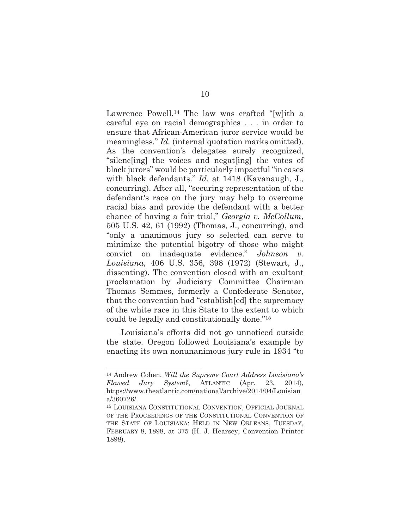Lawrence Powell.<sup>14</sup> The law was crafted "[w]ith a careful eye on racial demographics . . . in order to ensure that African-American juror service would be meaningless." *Id.* (internal quotation marks omitted). As the convention's delegates surely recognized, "silenc[ing] the voices and negat[ing] the votes of black jurors" would be particularly impactful "in cases with black defendants." *Id.* at 1418 (Kavanaugh, J., concurring). After all, "securing representation of the defendant's race on the jury may help to overcome racial bias and provide the defendant with a better chance of having a fair trial," *Georgia v. McCollum*, 505 U.S. 42, 61 (1992) (Thomas, J., concurring), and "only a unanimous jury so selected can serve to minimize the potential bigotry of those who might convict on inadequate evidence." *Johnson v. Louisiana*, 406 U.S. 356, 398 (1972) (Stewart, J., dissenting). The convention closed with an exultant proclamation by Judiciary Committee Chairman Thomas Semmes, formerly a Confederate Senator, that the convention had "establish[ed] the supremacy of the white race in this State to the extent to which could be legally and constitutionally done."<sup>15</sup>

Louisiana's efforts did not go unnoticed outside the state. Oregon followed Louisiana's example by enacting its own nonunanimous jury rule in 1934 "to

<sup>14</sup> Andrew Cohen, *Will the Supreme Court Address Louisiana's Flawed Jury System?*, ATLANTIC (Apr. 23, 2014), https://www.theatlantic.com/national/archive/2014/04/Louisian a/360726/.

<sup>15</sup> LOUISIANA CONSTITUTIONAL CONVENTION, OFFICIAL JOURNAL OF THE PROCEEDINGS OF THE CONSTITUTIONAL CONVENTION OF THE STATE OF LOUISIANA: HELD IN NEW ORLEANS, TUESDAY, FEBRUARY 8, 1898, at 375 (H. J. Hearsey, Convention Printer 1898).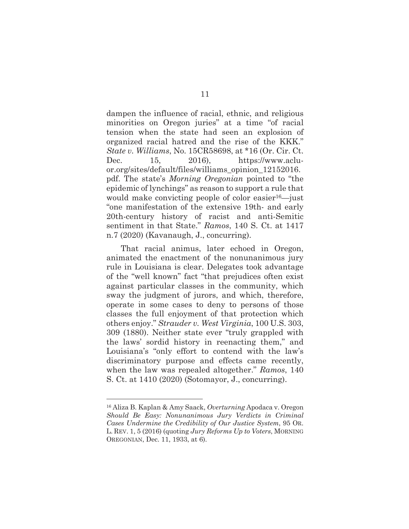dampen the influence of racial, ethnic, and religious minorities on Oregon juries" at a time "of racial tension when the state had seen an explosion of organized racial hatred and the rise of the KKK." *State v. Williams*, No. 15CR58698, at \*16 (Or. Cir. Ct. Dec. 15, 2016), https://www.acluor.org/sites/default/files/williams\_opinion\_12152016. pdf. The state's *Morning Oregonian* pointed to "the epidemic of lynchings" as reason to support a rule that would make convicting people of color easier<sup>16</sup>—just "one manifestation of the extensive 19th- and early 20th-century history of racist and anti-Semitic sentiment in that State." *Ramos*, 140 S. Ct. at 1417 n.7 (2020) (Kavanaugh, J., concurring).

That racial animus, later echoed in Oregon, animated the enactment of the nonunanimous jury rule in Louisiana is clear. Delegates took advantage of the "well known" fact "that prejudices often exist against particular classes in the community, which sway the judgment of jurors, and which, therefore, operate in some cases to deny to persons of those classes the full enjoyment of that protection which others enjoy." *Strauder v. West Virginia*, 100 U.S. 303, 309 (1880). Neither state ever "truly grappled with the laws' sordid history in reenacting them," and Louisiana's "only effort to contend with the law's discriminatory purpose and effects came recently, when the law was repealed altogether." *Ramos*, 140 S. Ct. at 1410 (2020) (Sotomayor, J., concurring).

<sup>16</sup> Aliza B. Kaplan & Amy Saack, *Overturning* Apodaca v. Oregon *Should Be Easy: Nonunanimous Jury Verdicts in Criminal Cases Undermine the Credibility of Our Justice System*, 95 OR. L. REV. 1, 5 (2016) (quoting *Jury Reforms Up to Voters*, MORNING OREGONIAN, Dec. 11, 1933, at 6).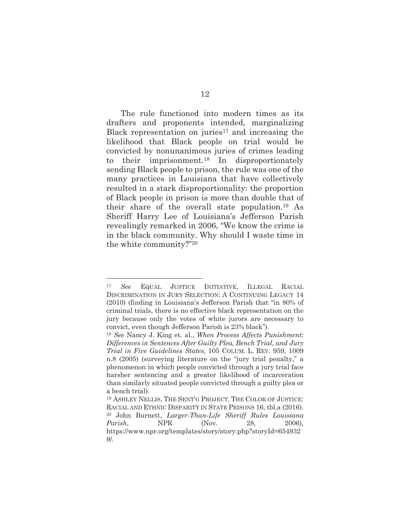The rule functioned into modern times as its drafters and proponents intended, marginalizing Black representation on juries $17$  and increasing the likelihood that Black people on trial would be convicted by nonunanimous juries of crimes leading to their imprisonment.18 In disproportionately sending Black people to prison, the rule was one of the many practices in Louisiana that have collectively resulted in a stark disproportionality: the proportion of Black people in prison is more than double that of their share of the overall state population.19 As Sheriff Harry Lee of Louisiana's Jefferson Parish revealingly remarked in 2006, "We know the crime is in the black community. Why should I waste time in the white community?"<sup>20</sup>

<sup>17</sup> *See* EQUAL JUSTICE INITIATIVE, ILLEGAL RACIAL DISCRIMINATION IN JURY SELECTION: A CONTINUING LEGACY 14 (2010) (finding in Louisiana's Jefferson Parish that "in 80% of criminal trials, there is no effective black representation on the jury because only the votes of white jurors are necessary to convict, even though Jefferson Parish is 23% black").

<sup>18</sup> *See* Nancy J. King et. al., *When Process Affects Punishment: Differences in Sentences After Guilty Plea, Bench Trial, and Jury Trial in Five Guidelines States*, 105 COLUM. L. REV. 959, 1009 n.8 (2005) (surveying literature on the "jury trial penalty," a phenomenon in which people convicted through a jury trial face harsher sentencing and a greater likelihood of incarceration than similarly situated people convicted through a guilty plea or a bench trial).

<sup>19</sup> ASHLEY NELLIS, THE SENT'G PROJECT, THE COLOR OF JUSTICE: RACIAL AND ETHNIC DISPARITY IN STATE PRISONS 16, tbl.a (2016). <sup>20</sup> John Burnett, *Larger-Than-Life Sheriff Rules Louisiana Parish*, **NPR** (Nov. 28, 2006), https://www.npr.org/templates/story/story.php?storyId=654932 9/.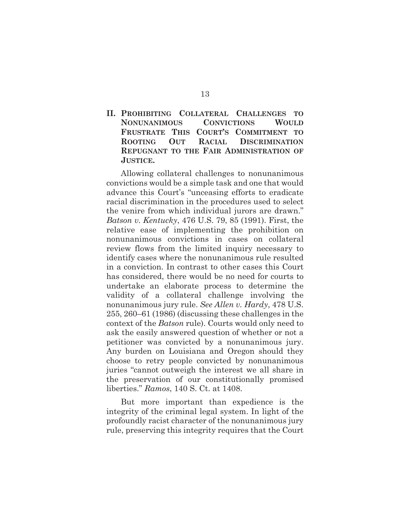**II. PROHIBITING COLLATERAL CHALLENGES TO NONUNANIMOUS CONVICTIONS WOULD FRUSTRATE THIS COURT'S COMMITMENT TO ROOTING OUT RACIAL DISCRIMINATION REPUGNANT TO THE FAIR ADMINISTRATION OF JUSTICE.** 

Allowing collateral challenges to nonunanimous convictions would be a simple task and one that would advance this Court's "unceasing efforts to eradicate racial discrimination in the procedures used to select the venire from which individual jurors are drawn." *Batson v. Kentucky*, 476 U.S. 79, 85 (1991). First, the relative ease of implementing the prohibition on nonunanimous convictions in cases on collateral review flows from the limited inquiry necessary to identify cases where the nonunanimous rule resulted in a conviction. In contrast to other cases this Court has considered, there would be no need for courts to undertake an elaborate process to determine the validity of a collateral challenge involving the nonunanimous jury rule. *See Allen v. Hardy*, 478 U.S. 255, 260–61 (1986) (discussing these challenges in the context of the *Batson* rule). Courts would only need to ask the easily answered question of whether or not a petitioner was convicted by a nonunanimous jury. Any burden on Louisiana and Oregon should they choose to retry people convicted by nonunanimous juries "cannot outweigh the interest we all share in the preservation of our constitutionally promised liberties." *Ramos*, 140 S. Ct. at 1408.

But more important than expedience is the integrity of the criminal legal system. In light of the profoundly racist character of the nonunanimous jury rule, preserving this integrity requires that the Court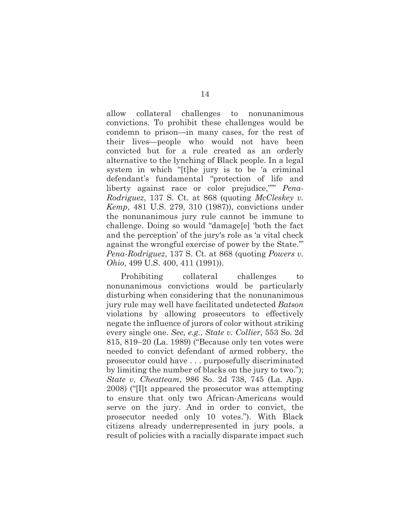allow collateral challenges to nonunanimous convictions. To prohibit these challenges would be condemn to prison—in many cases, for the rest of their lives—people who would not have been convicted but for a rule created as an orderly alternative to the lynching of Black people. In a legal system in which "[t]he jury is to be 'a criminal defendant's fundamental "protection of life and liberty against race or color prejudice,"'" *Pena-Rodriguez*, 137 S. Ct. at 868 (quoting *McCleskey v. Kemp*, 481 U.S. 279, 310 (1987)), convictions under the nonunanimous jury rule cannot be immune to challenge. Doing so would "damage[e] 'both the fact and the perception' of the jury's role as 'a vital check against the wrongful exercise of power by the State.'" *Pena-Rodriguez*, 137 S. Ct. at 868 (quoting *Powers v. Ohio*, 499 U.S. 400, 411 (1991)).

Prohibiting collateral challenges to nonunanimous convictions would be particularly disturbing when considering that the nonunanimous jury rule may well have facilitated undetected *Batson* violations by allowing prosecutors to effectively negate the influence of jurors of color without striking every single one. *See, e.g.*, *State v. Collier*, 553 So. 2d 815, 819–20 (La. 1989) ("Because only ten votes were needed to convict defendant of armed robbery, the prosecutor could have . . . purposefully discriminated by limiting the number of blacks on the jury to two."); *State v. Cheatteam*, 986 So. 2d 738, 745 (La. App. 2008) ("[I]t appeared the prosecutor was attempting to ensure that only two African-Americans would serve on the jury. And in order to convict, the prosecutor needed only 10 votes."). With Black citizens already underrepresented in jury pools, a result of policies with a racially disparate impact such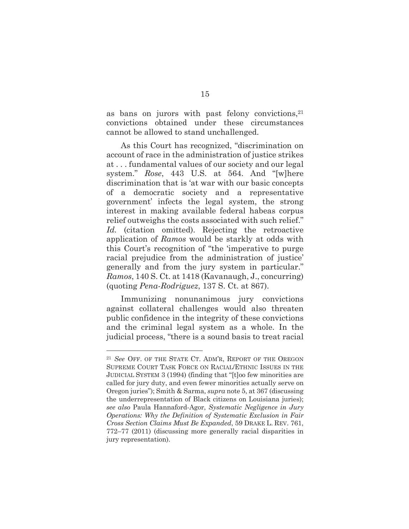as bans on jurors with past felony convictions, 21 convictions obtained under these circumstances cannot be allowed to stand unchallenged.

As this Court has recognized, "discrimination on account of race in the administration of justice strikes at . . . fundamental values of our society and our legal system." *Rose*, 443 U.S. at 564. And "[w]here discrimination that is 'at war with our basic concepts of a democratic society and a representative government' infects the legal system, the strong interest in making available federal habeas corpus relief outweighs the costs associated with such relief." Id. (citation omitted). Rejecting the retroactive application of *Ramos* would be starkly at odds with this Court's recognition of "the 'imperative to purge racial prejudice from the administration of justice' generally and from the jury system in particular." *Ramos*, 140 S. Ct. at 1418 (Kavanaugh, J., concurring) (quoting *Pena-Rodriguez*, 137 S. Ct. at 867).

Immunizing nonunanimous jury convictions against collateral challenges would also threaten public confidence in the integrity of these convictions and the criminal legal system as a whole. In the judicial process, "there is a sound basis to treat racial

<sup>21</sup> *See* OFF. OF THE STATE CT. ADM'R, REPORT OF THE OREGON SUPREME COURT TASK FORCE ON RACIAL/ETHNIC ISSUES IN THE JUDICIAL SYSTEM 3 (1994) (finding that "[t]oo few minorities are called for jury duty, and even fewer minorities actually serve on Oregon juries"); Smith & Sarma, *supra* note 5, at 367 (discussing the underrepresentation of Black citizens on Louisiana juries); *see also* Paula Hannaford-Agor, *Systematic Negligence in Jury Operations: Why the Definition of Systematic Exclusion in Fair Cross Section Claims Must Be Expanded*, 59 DRAKE L. REV. 761, 772–77 (2011) (discussing more generally racial disparities in jury representation).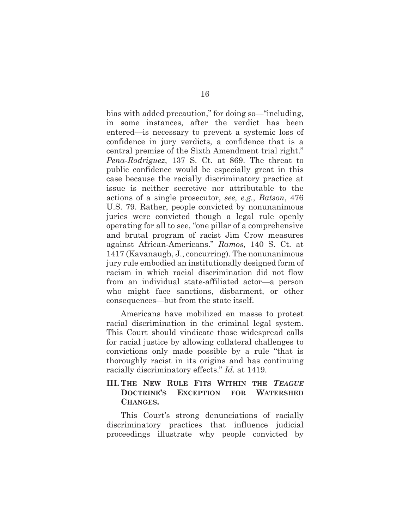bias with added precaution," for doing so—"including, in some instances, after the verdict has been entered—is necessary to prevent a systemic loss of confidence in jury verdicts, a confidence that is a central premise of the Sixth Amendment trial right." *Pena-Rodriguez*, 137 S. Ct. at 869. The threat to public confidence would be especially great in this case because the racially discriminatory practice at issue is neither secretive nor attributable to the actions of a single prosecutor, *see, e.g.*, *Batson*, 476 U.S. 79. Rather, people convicted by nonunanimous juries were convicted though a legal rule openly operating for all to see, "one pillar of a comprehensive and brutal program of racist Jim Crow measures against African-Americans." *Ramos*, 140 S. Ct. at 1417 (Kavanaugh, J., concurring). The nonunanimous jury rule embodied an institutionally designed form of racism in which racial discrimination did not flow from an individual state-affiliated actor—a person who might face sanctions, disbarment, or other consequences—but from the state itself.

Americans have mobilized en masse to protest racial discrimination in the criminal legal system. This Court should vindicate those widespread calls for racial justice by allowing collateral challenges to convictions only made possible by a rule "that is thoroughly racist in its origins and has continuing racially discriminatory effects." *Id.* at 1419.

### **III. THE NEW RULE FITS WITHIN THE** *TEAGUE* **DOCTRINE'S EXCEPTION FOR WATERSHED CHANGES.**

This Court's strong denunciations of racially discriminatory practices that influence judicial proceedings illustrate why people convicted by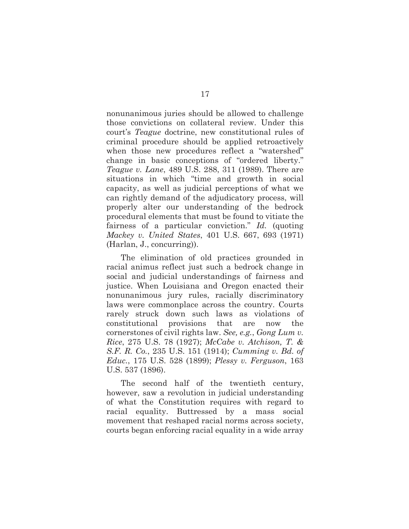nonunanimous juries should be allowed to challenge those convictions on collateral review. Under this court's *Teague* doctrine, new constitutional rules of criminal procedure should be applied retroactively when those new procedures reflect a "watershed" change in basic conceptions of "ordered liberty." *Teague v. Lane*, 489 U.S. 288, 311 (1989). There are situations in which "time and growth in social capacity, as well as judicial perceptions of what we can rightly demand of the adjudicatory process, will properly alter our understanding of the bedrock procedural elements that must be found to vitiate the fairness of a particular conviction." *Id.* (quoting *Mackey v. United States*, 401 U.S. 667, 693 (1971) (Harlan, J., concurring)).

The elimination of old practices grounded in racial animus reflect just such a bedrock change in social and judicial understandings of fairness and justice. When Louisiana and Oregon enacted their nonunanimous jury rules, racially discriminatory laws were commonplace across the country. Courts rarely struck down such laws as violations of constitutional provisions that are now the cornerstones of civil rights law. *See, e.g.*, *Gong Lum v. Rice*, 275 U.S. 78 (1927); *McCabe v. Atchison, T. & S.F. R. Co.*, 235 U.S. 151 (1914); *Cumming v. Bd. of Educ.*, 175 U.S. 528 (1899); *Plessy v. Ferguson*, 163 U.S. 537 (1896).

The second half of the twentieth century, however, saw a revolution in judicial understanding of what the Constitution requires with regard to racial equality. Buttressed by a mass social movement that reshaped racial norms across society, courts began enforcing racial equality in a wide array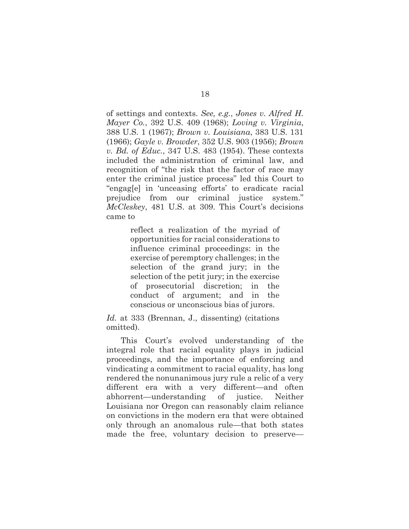of settings and contexts. *See, e.g.*, *Jones v. Alfred H. Mayer Co.*, 392 U.S. 409 (1968); *Loving v. Virginia*, 388 U.S. 1 (1967); *Brown v. Louisiana*, 383 U.S. 131 (1966); *Gayle v. Browder*, 352 U.S. 903 (1956); *Brown v. Bd. of Educ.*, 347 U.S. 483 (1954). These contexts included the administration of criminal law, and recognition of "the risk that the factor of race may enter the criminal justice process" led this Court to "engag[e] in 'unceasing efforts' to eradicate racial prejudice from our criminal justice system." *McCleskey*, 481 U.S. at 309. This Court's decisions came to

> reflect a realization of the myriad of opportunities for racial considerations to influence criminal proceedings: in the exercise of peremptory challenges; in the selection of the grand jury; in the selection of the petit jury; in the exercise of prosecutorial discretion; in the conduct of argument; and in the conscious or unconscious bias of jurors.

*Id.* at 333 (Brennan, J., dissenting) (citations omitted).

This Court's evolved understanding of the integral role that racial equality plays in judicial proceedings, and the importance of enforcing and vindicating a commitment to racial equality, has long rendered the nonunanimous jury rule a relic of a very different era with a very different—and often abhorrent—understanding of justice. Neither Louisiana nor Oregon can reasonably claim reliance on convictions in the modern era that were obtained only through an anomalous rule—that both states made the free, voluntary decision to preserve